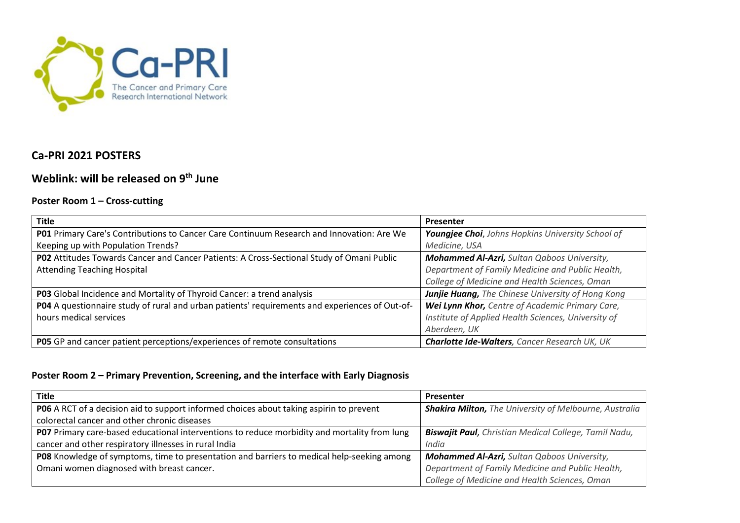

## **Ca-PRI 2021 POSTERS**

# **Weblink: will be released on 9th June**

### **Poster Room 1 – Cross-cutting**

| <b>Title</b>                                                                                   | Presenter                                            |
|------------------------------------------------------------------------------------------------|------------------------------------------------------|
| P01 Primary Care's Contributions to Cancer Care Continuum Research and Innovation: Are We      | Youngjee Choi, Johns Hopkins University School of    |
| Keeping up with Population Trends?                                                             | Medicine, USA                                        |
| PO2 Attitudes Towards Cancer and Cancer Patients: A Cross-Sectional Study of Omani Public      | <b>Mohammed Al-Azri, Sultan Qaboos University,</b>   |
| <b>Attending Teaching Hospital</b>                                                             | Department of Family Medicine and Public Health,     |
|                                                                                                | College of Medicine and Health Sciences, Oman        |
| P03 Global Incidence and Mortality of Thyroid Cancer: a trend analysis                         | Junjie Huang, The Chinese University of Hong Kong    |
| PO4 A questionnaire study of rural and urban patients' requirements and experiences of Out-of- | Wei Lynn Khor, Centre of Academic Primary Care,      |
| hours medical services                                                                         | Institute of Applied Health Sciences, University of  |
|                                                                                                | Aberdeen, UK                                         |
| PO5 GP and cancer patient perceptions/experiences of remote consultations                      | <b>Charlotte Ide-Walters, Cancer Research UK, UK</b> |

#### **Poster Room 2 – Primary Prevention, Screening, and the interface with Early Diagnosis**

| Title                                                                                        | Presenter                                                     |
|----------------------------------------------------------------------------------------------|---------------------------------------------------------------|
| PO6 A RCT of a decision aid to support informed choices about taking aspirin to prevent      | <b>Shakira Milton, The University of Melbourne, Australia</b> |
| colorectal cancer and other chronic diseases                                                 |                                                               |
| P07 Primary care-based educational interventions to reduce morbidity and mortality from lung | <b>Biswajit Paul</b> , Christian Medical College, Tamil Nadu, |
| cancer and other respiratory illnesses in rural India                                        | India                                                         |
| PO8 Knowledge of symptoms, time to presentation and barriers to medical help-seeking among   | <b>Mohammed Al-Azri, Sultan Qaboos University,</b>            |
| Omani women diagnosed with breast cancer.                                                    | Department of Family Medicine and Public Health,              |
|                                                                                              | College of Medicine and Health Sciences, Oman                 |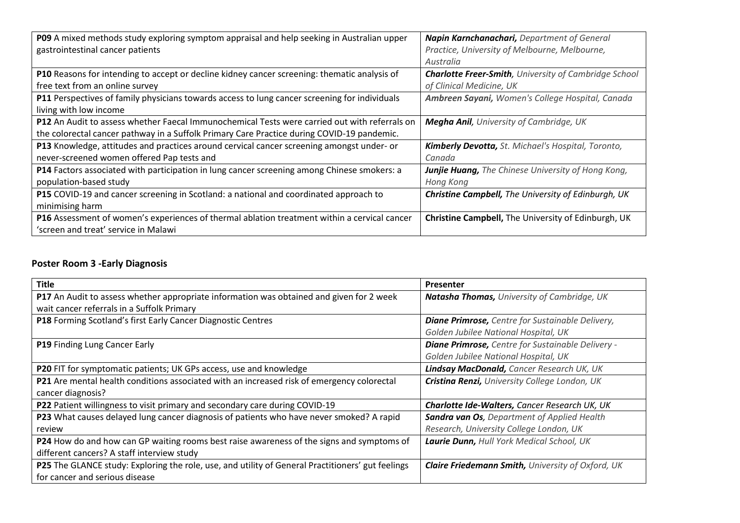| P09 A mixed methods study exploring symptom appraisal and help seeking in Australian upper           | Napin Karnchanachari, Department of General                   |
|------------------------------------------------------------------------------------------------------|---------------------------------------------------------------|
| gastrointestinal cancer patients                                                                     | Practice, University of Melbourne, Melbourne,                 |
|                                                                                                      | Australia                                                     |
| P10 Reasons for intending to accept or decline kidney cancer screening: thematic analysis of         | <b>Charlotte Freer-Smith</b> , University of Cambridge School |
| free text from an online survey                                                                      | of Clinical Medicine, UK                                      |
| P11 Perspectives of family physicians towards access to lung cancer screening for individuals        | Ambreen Sayani, Women's College Hospital, Canada              |
| living with low income                                                                               |                                                               |
| <b>P12</b> An Audit to assess whether Faecal Immunochemical Tests were carried out with referrals on | <b>Megha Anil</b> , University of Cambridge, UK               |
| the colorectal cancer pathway in a Suffolk Primary Care Practice during COVID-19 pandemic.           |                                                               |
| P13 Knowledge, attitudes and practices around cervical cancer screening amongst under- or            | Kimberly Devotta, St. Michael's Hospital, Toronto,            |
| never-screened women offered Pap tests and                                                           | Canada                                                        |
| <b>P14</b> Factors associated with participation in lung cancer screening among Chinese smokers: a   | <b>Junjie Huang, The Chinese University of Hong Kong,</b>     |
| population-based study                                                                               | Hong Kong                                                     |
| P15 COVID-19 and cancer screening in Scotland: a national and coordinated approach to                | <b>Christine Campbell, The University of Edinburgh, UK</b>    |
| minimising harm                                                                                      |                                                               |
| P16 Assessment of women's experiences of thermal ablation treatment within a cervical cancer         | Christine Campbell, The University of Edinburgh, UK           |
| 'screen and treat' service in Malawi                                                                 |                                                               |

## **Poster Room 3 -Early Diagnosis**

| <b>Title</b>                                                                                      | <b>Presenter</b>                                         |
|---------------------------------------------------------------------------------------------------|----------------------------------------------------------|
| P17 An Audit to assess whether appropriate information was obtained and given for 2 week          | <b>Natasha Thomas, University of Cambridge, UK</b>       |
| wait cancer referrals in a Suffolk Primary                                                        |                                                          |
| P18 Forming Scotland's first Early Cancer Diagnostic Centres                                      | <b>Diane Primrose,</b> Centre for Sustainable Delivery,  |
|                                                                                                   | Golden Jubilee National Hospital, UK                     |
| <b>P19</b> Finding Lung Cancer Early                                                              | <b>Diane Primrose,</b> Centre for Sustainable Delivery - |
|                                                                                                   | Golden Jubilee National Hospital, UK                     |
| <b>P20 FIT for symptomatic patients; UK GPs access, use and knowledge</b>                         | Lindsay MacDonald, Cancer Research UK, UK                |
| <b>P21</b> Are mental health conditions associated with an increased risk of emergency colorectal | Cristina Renzi, University College London, UK            |
| cancer diagnosis?                                                                                 |                                                          |
| P22 Patient willingness to visit primary and secondary care during COVID-19                       | Charlotte Ide-Walters, Cancer Research UK, UK            |
| P23 What causes delayed lung cancer diagnosis of patients who have never smoked? A rapid          | <b>Sandra van Os, Department of Applied Health</b>       |
| review                                                                                            | Research, University College London, UK                  |
| P24 How do and how can GP waiting rooms best raise awareness of the signs and symptoms of         | Laurie Dunn, Hull York Medical School, UK                |
| different cancers? A staff interview study                                                        |                                                          |
| P25 The GLANCE study: Exploring the role, use, and utility of General Practitioners' gut feelings | <b>Claire Friedemann Smith, University of Oxford, UK</b> |
| for cancer and serious disease                                                                    |                                                          |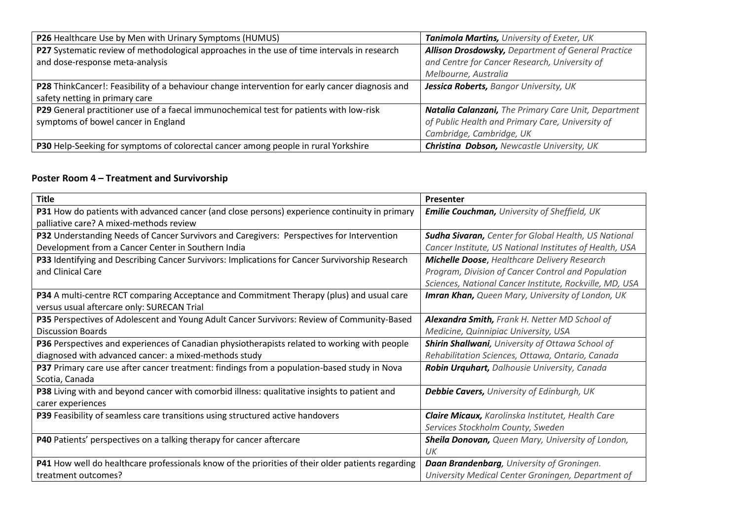| P26 Healthcare Use by Men with Urinary Symptoms (HUMUS)                                         | Tanimola Martins, University of Exeter, UK           |
|-------------------------------------------------------------------------------------------------|------------------------------------------------------|
| P27 Systematic review of methodological approaches in the use of time intervals in research     | Allison Drosdowsky, Department of General Practice   |
| and dose-response meta-analysis                                                                 | and Centre for Cancer Research, University of        |
|                                                                                                 | Melbourne, Australia                                 |
| P28 ThinkCancer!: Feasibility of a behaviour change intervention for early cancer diagnosis and | Jessica Roberts, Bangor University, UK               |
| safety netting in primary care                                                                  |                                                      |
| P29 General practitioner use of a faecal immunochemical test for patients with low-risk         | Natalia Calanzani, The Primary Care Unit, Department |
| symptoms of bowel cancer in England                                                             | of Public Health and Primary Care, University of     |
|                                                                                                 | Cambridge, Cambridge, UK                             |
| P30 Help-Seeking for symptoms of colorectal cancer among people in rural Yorkshire              | <b>Christina Dobson, Newcastle University, UK</b>    |

#### **Poster Room 4 – Treatment and Survivorship**

| <b>Title</b>                                                                                      | Presenter                                                   |
|---------------------------------------------------------------------------------------------------|-------------------------------------------------------------|
| P31 How do patients with advanced cancer (and close persons) experience continuity in primary     | <b>Emilie Couchman, University of Sheffield, UK</b>         |
| palliative care? A mixed-methods review                                                           |                                                             |
| P32 Understanding Needs of Cancer Survivors and Caregivers: Perspectives for Intervention         | <b>Sudha Sivaran, Center for Global Health, US National</b> |
| Development from a Cancer Center in Southern India                                                | Cancer Institute, US National Institutes of Health, USA     |
| P33 Identifying and Describing Cancer Survivors: Implications for Cancer Survivorship Research    | <b>Michelle Doose, Healthcare Delivery Research</b>         |
| and Clinical Care                                                                                 | Program, Division of Cancer Control and Population          |
|                                                                                                   | Sciences, National Cancer Institute, Rockville, MD, USA     |
| P34 A multi-centre RCT comparing Acceptance and Commitment Therapy (plus) and usual care          | <b>Imran Khan, Queen Mary, University of London, UK</b>     |
| versus usual aftercare only: SURECAN Trial                                                        |                                                             |
| P35 Perspectives of Adolescent and Young Adult Cancer Survivors: Review of Community-Based        | <b>Alexandra Smith, Frank H. Netter MD School of</b>        |
| <b>Discussion Boards</b>                                                                          | Medicine, Quinnipiac University, USA                        |
| P36 Perspectives and experiences of Canadian physiotherapists related to working with people      | <b>Shirin Shallwani</b> , University of Ottawa School of    |
| diagnosed with advanced cancer: a mixed-methods study                                             | Rehabilitation Sciences, Ottawa, Ontario, Canada            |
| P37 Primary care use after cancer treatment: findings from a population-based study in Nova       | Robin Urquhart, Dalhousie University, Canada                |
| Scotia, Canada                                                                                    |                                                             |
| P38 Living with and beyond cancer with comorbid illness: qualitative insights to patient and      | <b>Debbie Cavers, University of Edinburgh, UK</b>           |
| carer experiences                                                                                 |                                                             |
| P39 Feasibility of seamless care transitions using structured active handovers                    | <b>Claire Micaux, Karolinska Institutet, Health Care</b>    |
|                                                                                                   | Services Stockholm County, Sweden                           |
| P40 Patients' perspectives on a talking therapy for cancer aftercare                              | Sheila Donovan, Queen Mary, University of London,           |
|                                                                                                   | $_{l}$                                                      |
| P41 How well do healthcare professionals know of the priorities of their older patients regarding | <b>Daan Brandenbarg</b> , University of Groningen.          |
| treatment outcomes?                                                                               | University Medical Center Groningen, Department of          |